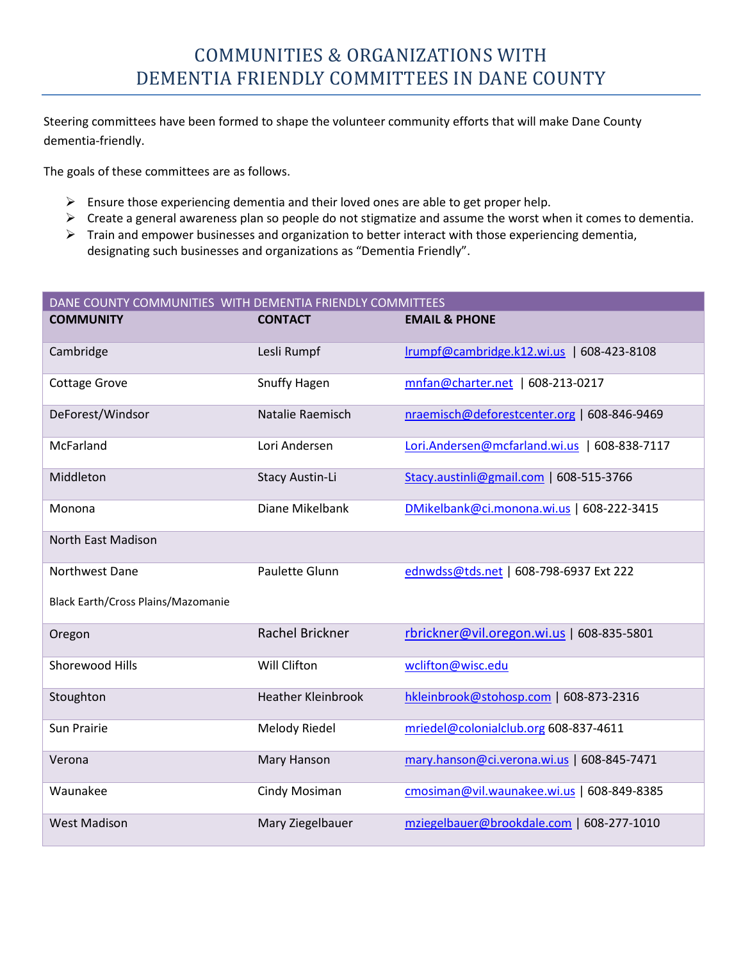Steering committees have been formed to shape the volunteer community efforts that will make Dane County dementia-friendly.

The goals of these committees are as follows.

- $\triangleright$  Ensure those experiencing dementia and their loved ones are able to get proper help.
- $\triangleright$  Create a general awareness plan so people do not stigmatize and assume the worst when it comes to dementia.
- $\triangleright$  Train and empower businesses and organization to better interact with those experiencing dementia, designating such businesses and organizations as "Dementia Friendly".

| DANE COUNTY COMMUNITIES WITH DEMENTIA FRIENDLY COMMITTEES |                           |                                               |
|-----------------------------------------------------------|---------------------------|-----------------------------------------------|
| <b>COMMUNITY</b>                                          | <b>CONTACT</b>            | <b>EMAIL &amp; PHONE</b>                      |
| Cambridge                                                 | Lesli Rumpf               | Irumpf@cambridge.k12.wi.us   608-423-8108     |
| <b>Cottage Grove</b>                                      | Snuffy Hagen              | mnfan@charter.net   608-213-0217              |
| DeForest/Windsor                                          | Natalie Raemisch          | nraemisch@deforestcenter.org   608-846-9469   |
| McFarland                                                 | Lori Andersen             | Lori.Andersen@mcfarland.wi.us<br>608-838-7117 |
| Middleton                                                 | Stacy Austin-Li           | Stacy.austinli@gmail.com   608-515-3766       |
| Monona                                                    | Diane Mikelbank           | DMikelbank@ci.monona.wi.us   608-222-3415     |
| North East Madison                                        |                           |                                               |
| Northwest Dane                                            | Paulette Glunn            | ednwdss@tds.net   608-798-6937 Ext 222        |
| Black Earth/Cross Plains/Mazomanie                        |                           |                                               |
| Oregon                                                    | Rachel Brickner           | rbrickner@vil.oregon.wi.us   608-835-5801     |
| Shorewood Hills                                           | Will Clifton              | wclifton@wisc.edu                             |
| Stoughton                                                 | <b>Heather Kleinbrook</b> | hkleinbrook@stohosp.com   608-873-2316        |
| <b>Sun Prairie</b>                                        | <b>Melody Riedel</b>      | mriedel@colonialclub.org 608-837-4611         |
| Verona                                                    | Mary Hanson               | mary.hanson@ci.verona.wi.us   608-845-7471    |
| Waunakee                                                  | Cindy Mosiman             | cmosiman@vil.waunakee.wi.us   608-849-8385    |
| <b>West Madison</b>                                       | Mary Ziegelbauer          | mziegelbauer@brookdale.com   608-277-1010     |